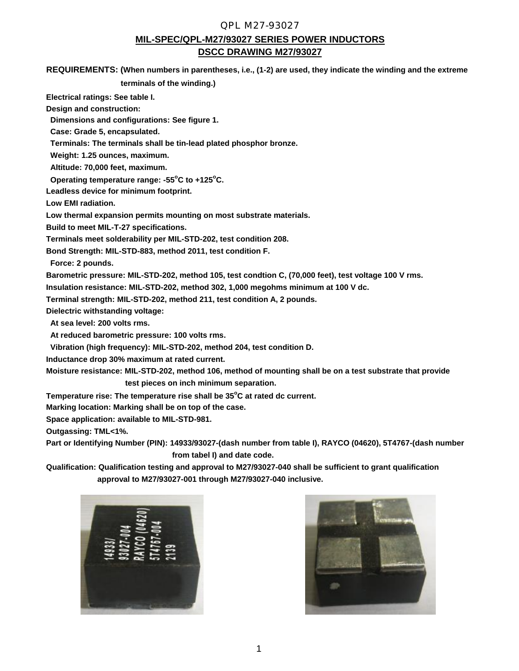#### QPL M27-93027

### **MIL-SPEC/QPL-M27/93027 SERIES POWER INDUCTORS DSCC DRAWING M27/93027**

**REQUIREMENTS: (When numbers in parentheses, i.e., (1-2) are used, they indicate the winding and the extreme**

 **terminals of the winding.)**

**Electrical ratings: See table I.**

**Design and construction:**

 **Dimensions and configurations: See figure 1.**

 **Case: Grade 5, encapsulated.**

 **Terminals: The terminals shall be tin-lead plated phosphor bronze.**

 **Weight: 1.25 ounces, maximum.**

 **Altitude: 70,000 feet, maximum.**

 **Operating temperature range: -55<sup>o</sup>C to +125<sup>o</sup>C.**

**Leadless device for minimum footprint.**

**Low EMI radiation.**

**Low thermal expansion permits mounting on most substrate materials.**

**Build to meet MIL-T-27 specifications.**

**Terminals meet solderability per MIL-STD-202, test condition 208.**

**Bond Strength: MIL-STD-883, method 2011, test condition F.**

 **Force: 2 pounds.**

**Barometric pressure: MIL-STD-202, method 105, test condtion C, (70,000 feet), test voltage 100 V rms.**

**Insulation resistance: MIL-STD-202, method 302, 1,000 megohms minimum at 100 V dc.**

**Terminal strength: MIL-STD-202, method 211, test condition A, 2 pounds.**

**Dielectric withstanding voltage:**

 **At sea level: 200 volts rms.**

 **At reduced barometric pressure: 100 volts rms.**

 **Vibration (high frequency): MIL-STD-202, method 204, test condition D.**

**Inductance drop 30% maximum at rated current.**

**Moisture resistance: MIL-STD-202, method 106, method of mounting shall be on a test substrate that provide test pieces on inch minimum separation.**

**Temperature rise: The temperature rise shall be 35<sup>o</sup>C at rated dc current.**

**Marking location: Marking shall be on top of the case.**

**Space application: available to MIL-STD-981.**

**Outgassing: TML<1%.**

**Part or Identifying Number (PIN): 14933/93027-(dash number from table I), RAYCO (04620), 5T4767-(dash number from tabel I) and date code.**

**Qualification: Qualification testing and approval to M27/93027-040 shall be sufficient to grant qualification approval to M27/93027-001 through M27/93027-040 inclusive.**

| 4933/ | 93027-004 | 0(04620)<br>RAYCO | 14767-004 | 2139 |  |
|-------|-----------|-------------------|-----------|------|--|
|       |           |                   |           |      |  |

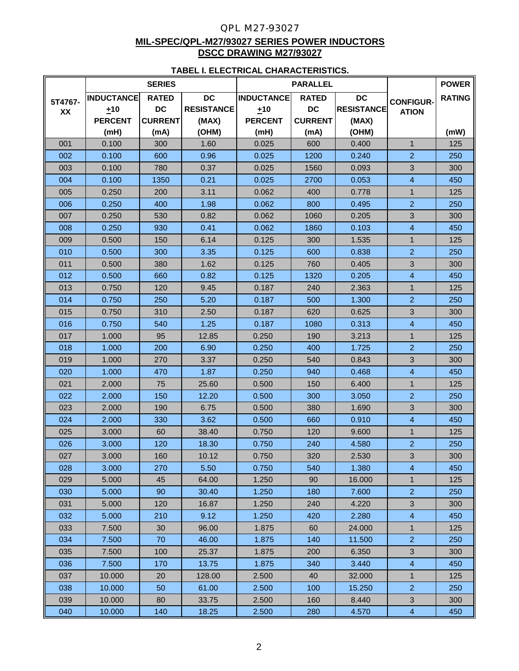## QPL M27-93027 **MIL-SPEC/QPL-M27/93027 SERIES POWER INDUCTORS DSCC DRAWING M27/93027**

#### **TABEL I. ELECTRICAL CHARACTERISTICS.**

|         | <b>SERIES</b>                     |                |                   |                   | <b>PARALLEL</b> |                   | <b>POWER</b>            |               |
|---------|-----------------------------------|----------------|-------------------|-------------------|-----------------|-------------------|-------------------------|---------------|
| 5T4767- | <b>INDUCTANCE</b><br><b>RATED</b> |                | <b>DC</b>         | <b>INDUCTANCE</b> | <b>RATED</b>    | <b>DC</b>         | <b>CONFIGUR-</b>        | <b>RATING</b> |
| XX      | ±10                               | <b>DC</b>      | <b>RESISTANCE</b> | ±10               | <b>DC</b>       | <b>RESISTANCE</b> | <b>ATION</b>            |               |
|         | <b>PERCENT</b>                    | <b>CURRENT</b> | (MAX)             | <b>PERCENT</b>    | <b>CURRENT</b>  | (MAX)             |                         |               |
|         | (mH)                              | (mA)           | (OHM)             | (mH)              | (mA)            | (OHM)             |                         | (mW)          |
| 001     | 0.100                             | 300            | 1.60              | 0.025             | 600             | 0.400             | $\mathbf{1}$            | 125           |
| 002     | 0.100                             | 600            | 0.96              | 0.025             | 1200            | 0.240             | $\overline{2}$          | 250           |
| 003     | 0.100                             | 780            | 0.37              | 0.025             | 1560            | 0.093             | 3                       | 300           |
| 004     | 0.100                             | 1350           | 0.21              | 0.025             | 2700            | 0.053             | $\overline{4}$          | 450           |
| 005     | 0.250                             | 200            | 3.11              | 0.062             | 400             | 0.778             | $\mathbf{1}$            | 125           |
| 006     | 0.250                             | 400            | 1.98              | 0.062             | 800             | 0.495             | $\overline{2}$          | 250           |
| 007     | 0.250                             | 530            | 0.82              | 0.062             | 1060            | 0.205             | 3                       | 300           |
| 008     | 0.250                             | 930            | 0.41              | 0.062             | 1860            | 0.103             | $\overline{4}$          | 450           |
| 009     | 0.500                             | 150            | 6.14              | 0.125             | 300             | 1.535             | 1                       | 125           |
| 010     | 0.500                             | 300            | 3.35              | 0.125             | 600             | 0.838             | $\overline{2}$          | 250           |
| 011     | 0.500                             | 380            | 1.62              | 0.125             | 760             | 0.405             | 3                       | 300           |
| 012     | 0.500                             | 660            | 0.82              | 0.125             | 1320            | 0.205             | 4                       | 450           |
| 013     | 0.750                             | 120            | 9.45              | 0.187             | 240             | 2.363             | $\mathbf{1}$            | 125           |
| 014     | 0.750                             | 250            | 5.20              | 0.187             | 500             | 1.300             | $\overline{2}$          | 250           |
| 015     | 0.750                             | 310            | 2.50              | 0.187             | 620             | 0.625             | 3                       | 300           |
| 016     | 0.750                             | 540            | 1.25              | 0.187             | 1080            | 0.313             | $\overline{4}$          | 450           |
| 017     | 1.000                             | 95             | 12.85             | 0.250             | 190             | 3.213             | 1                       | 125           |
| 018     | 1.000                             | 200            | 6.90              | 0.250             | 400             | 1.725             | $\overline{2}$          | 250           |
| 019     | 1.000                             | 270            | 3.37              | 0.250             | 540             | 0.843             | 3                       | 300           |
| 020     | 1.000                             | 470            | 1.87              | 0.250             | 940             | 0.468             | 4                       | 450           |
| 021     | 2.000                             | 75             | 25.60             | 0.500             | 150             | 6.400             | $\mathbf{1}$            | 125           |
| 022     | 2.000                             | 150            | 12.20             | 0.500             | 300             | 3.050             | $\overline{2}$          | 250           |
| 023     | 2.000                             | 190            | 6.75              | 0.500             | 380             | 1.690             | 3                       | 300           |
| 024     | 2.000                             | 330            | 3.62              | 0.500             | 660             | 0.910             | $\overline{4}$          | 450           |
| 025     | 3.000                             | 60             | 38.40             | 0.750             | 120             | 9.600             | $\mathbf{1}$            | 125           |
| 026     | 3.000                             | 120            | 18.30             | 0.750             | 240             | 4.580             | $\overline{a}$          | 250           |
| 027     | 3.000                             | 160            | 10.12             | 0.750             | 320             | 2.530             | 3                       | 300           |
| 028     | 3.000                             | 270            | 5.50              | 0.750             | 540             | 1.380             | $\overline{4}$          | 450           |
| 029     | 5.000                             | 45             | 64.00             | 1.250             | 90              | 16.000            | $\mathbf{1}$            | 125           |
| 030     | 5.000                             | 90             | 30.40             | 1.250             | 180             | 7.600             | $\overline{2}$          | 250           |
| 031     | 5.000                             | 120            | 16.87             | 1.250             | 240             | 4.220             | 3                       | 300           |
| 032     | 5.000                             | 210            | 9.12              | 1.250             | 420             | 2.280             | $\overline{4}$          | 450           |
| 033     | 7.500                             | 30             | 96.00             | 1.875             | 60              | 24.000            | $\mathbf{1}$            | 125           |
| 034     | 7.500                             | 70             | 46.00             | 1.875             | 140             | 11.500            | $\overline{2}$          | 250           |
| 035     | 7.500                             | 100            | 25.37             | 1.875             | 200             | 6.350             | 3                       | 300           |
| 036     | 7.500                             | 170            | 13.75             | 1.875             | 340             | 3.440             | $\overline{\mathbf{4}}$ | 450           |
| 037     | 10.000                            | 20             | 128.00            | 2.500             | 40              | 32.000            | $\mathbf{1}$            | 125           |
| 038     | 10.000                            | 50             | 61.00             | 2.500             | 100             | 15.250            | $\overline{2}$          | 250           |
| 039     | 10.000                            | 80             | 33.75             | 2.500             | 160             | 8.440             | $\mathfrak{S}$          | 300           |
| 040     | 10.000                            | 140            | 18.25             | 2.500             | 280             | 4.570             | $\overline{4}$          | 450           |